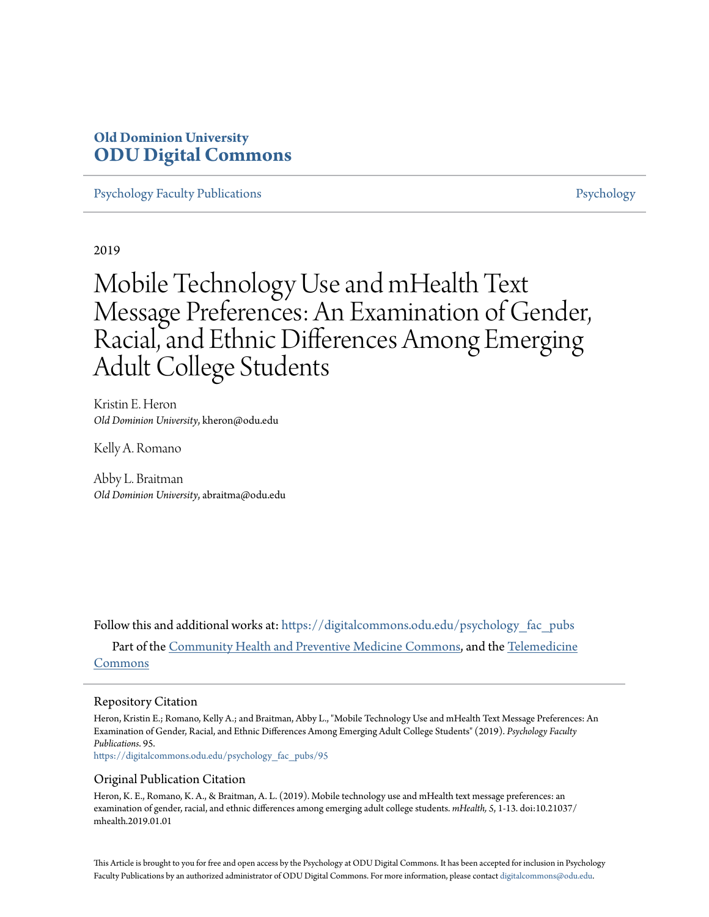## **Old Dominion University [ODU Digital Commons](https://digitalcommons.odu.edu?utm_source=digitalcommons.odu.edu%2Fpsychology_fac_pubs%2F95&utm_medium=PDF&utm_campaign=PDFCoverPages)**

[Psychology Faculty Publications](https://digitalcommons.odu.edu/psychology_fac_pubs?utm_source=digitalcommons.odu.edu%2Fpsychology_fac_pubs%2F95&utm_medium=PDF&utm_campaign=PDFCoverPages) **[Psychology](https://digitalcommons.odu.edu/psychology?utm_source=digitalcommons.odu.edu%2Fpsychology_fac_pubs%2F95&utm_medium=PDF&utm_campaign=PDFCoverPages)** Psychology

2019

# Mobile Technology Use and mHealth Text Message Preferences: An Examination of Gender, Racial, and Ethnic Differences Among Emerging Adult College Students

Kristin E. Heron *Old Dominion University*, kheron@odu.edu

Kelly A. Romano

Abby L. Braitman *Old Dominion University*, abraitma@odu.edu

Follow this and additional works at: [https://digitalcommons.odu.edu/psychology\\_fac\\_pubs](https://digitalcommons.odu.edu/psychology_fac_pubs?utm_source=digitalcommons.odu.edu%2Fpsychology_fac_pubs%2F95&utm_medium=PDF&utm_campaign=PDFCoverPages) Part of the [Community Health and Preventive Medicine Commons,](http://network.bepress.com/hgg/discipline/744?utm_source=digitalcommons.odu.edu%2Fpsychology_fac_pubs%2F95&utm_medium=PDF&utm_campaign=PDFCoverPages) and the [Telemedicine](http://network.bepress.com/hgg/discipline/1367?utm_source=digitalcommons.odu.edu%2Fpsychology_fac_pubs%2F95&utm_medium=PDF&utm_campaign=PDFCoverPages) [Commons](http://network.bepress.com/hgg/discipline/1367?utm_source=digitalcommons.odu.edu%2Fpsychology_fac_pubs%2F95&utm_medium=PDF&utm_campaign=PDFCoverPages)

#### Repository Citation

Heron, Kristin E.; Romano, Kelly A.; and Braitman, Abby L., "Mobile Technology Use and mHealth Text Message Preferences: An Examination of Gender, Racial, and Ethnic Differences Among Emerging Adult College Students" (2019). *Psychology Faculty Publications*. 95.

[https://digitalcommons.odu.edu/psychology\\_fac\\_pubs/95](https://digitalcommons.odu.edu/psychology_fac_pubs/95?utm_source=digitalcommons.odu.edu%2Fpsychology_fac_pubs%2F95&utm_medium=PDF&utm_campaign=PDFCoverPages)

#### Original Publication Citation

Heron, K. E., Romano, K. A., & Braitman, A. L. (2019). Mobile technology use and mHealth text message preferences: an examination of gender, racial, and ethnic differences among emerging adult college students. *mHealth, 5*, 1-13. doi:10.21037/ mhealth.2019.01.01

This Article is brought to you for free and open access by the Psychology at ODU Digital Commons. It has been accepted for inclusion in Psychology Faculty Publications by an authorized administrator of ODU Digital Commons. For more information, please contact [digitalcommons@odu.edu.](mailto:digitalcommons@odu.edu)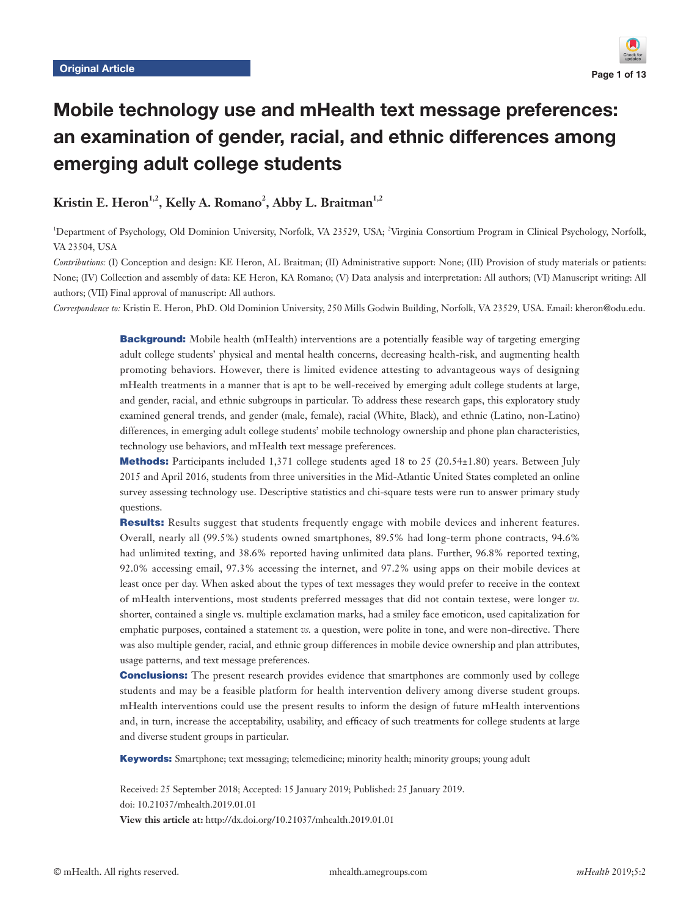

# Mobile technology use and mHealth text message preferences: an examination of gender, racial, and ethnic differences among emerging adult college students

## Kristin E. Heron<sup>1,2</sup>, Kelly A. Romano<sup>2</sup>, Abby L. Braitman<sup>1,2</sup>

<sup>1</sup>Department of Psychology, Old Dominion University, Norfolk, VA 23529, USA; <sup>2</sup>Virginia Consortium Program in Clinical Psychology, Norfolk, VA 23504, USA

*Contributions:* (I) Conception and design: KE Heron, AL Braitman; (II) Administrative support: None; (III) Provision of study materials or patients: None; (IV) Collection and assembly of data: KE Heron, KA Romano; (V) Data analysis and interpretation: All authors; (VI) Manuscript writing: All authors; (VII) Final approval of manuscript: All authors.

*Correspondence to:* Kristin E. Heron, PhD. Old Dominion University, 250 Mills Godwin Building, Norfolk, VA 23529, USA. Email: kheron@odu.edu.

**Background:** Mobile health (mHealth) interventions are a potentially feasible way of targeting emerging adult college students' physical and mental health concerns, decreasing health-risk, and augmenting health promoting behaviors. However, there is limited evidence attesting to advantageous ways of designing mHealth treatments in a manner that is apt to be well-received by emerging adult college students at large, and gender, racial, and ethnic subgroups in particular. To address these research gaps, this exploratory study examined general trends, and gender (male, female), racial (White, Black), and ethnic (Latino, non-Latino) differences, in emerging adult college students' mobile technology ownership and phone plan characteristics, technology use behaviors, and mHealth text message preferences.

Methods: Participants included 1,371 college students aged 18 to 25 (20.54±1.80) years. Between July 2015 and April 2016, students from three universities in the Mid-Atlantic United States completed an online survey assessing technology use. Descriptive statistics and chi-square tests were run to answer primary study questions.

Results: Results suggest that students frequently engage with mobile devices and inherent features. Overall, nearly all (99.5%) students owned smartphones, 89.5% had long-term phone contracts, 94.6% had unlimited texting, and 38.6% reported having unlimited data plans. Further, 96.8% reported texting, 92.0% accessing email, 97.3% accessing the internet, and 97.2% using apps on their mobile devices at least once per day. When asked about the types of text messages they would prefer to receive in the context of mHealth interventions, most students preferred messages that did not contain textese, were longer *vs.*  shorter, contained a single vs. multiple exclamation marks, had a smiley face emoticon, used capitalization for emphatic purposes, contained a statement *vs.* a question, were polite in tone, and were non-directive. There was also multiple gender, racial, and ethnic group differences in mobile device ownership and plan attributes, usage patterns, and text message preferences.

**Conclusions:** The present research provides evidence that smartphones are commonly used by college students and may be a feasible platform for health intervention delivery among diverse student groups. mHealth interventions could use the present results to inform the design of future mHealth interventions and, in turn, increase the acceptability, usability, and efficacy of such treatments for college students at large and diverse student groups in particular.

Keywords: Smartphone; text messaging; telemedicine; minority health; minority groups; young adult

Received: 25 September 2018; Accepted: 15 January 2019; Published: 25 January 2019. doi: 10.21037/mhealth.2019.01.01 **View this article at:** http://dx.doi.org/10.21037/mhealth.2019.01.01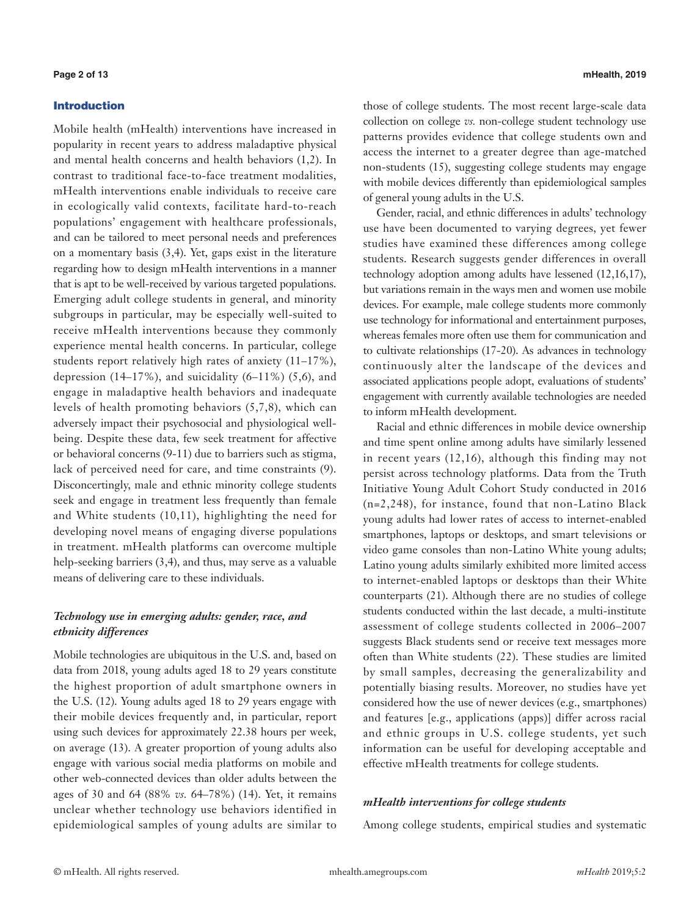#### Introduction

Mobile health (mHealth) interventions have increased in popularity in recent years to address maladaptive physical and mental health concerns and health behaviors (1,2). In contrast to traditional face-to-face treatment modalities, mHealth interventions enable individuals to receive care in ecologically valid contexts, facilitate hard-to-reach populations' engagement with healthcare professionals, and can be tailored to meet personal needs and preferences on a momentary basis (3,4). Yet, gaps exist in the literature regarding how to design mHealth interventions in a manner that is apt to be well-received by various targeted populations. Emerging adult college students in general, and minority subgroups in particular, may be especially well-suited to receive mHealth interventions because they commonly experience mental health concerns. In particular, college students report relatively high rates of anxiety (11–17%), depression  $(14–17\%)$ , and suicidality  $(6–11\%)$   $(5,6)$ , and engage in maladaptive health behaviors and inadequate levels of health promoting behaviors (5,7,8), which can adversely impact their psychosocial and physiological wellbeing. Despite these data, few seek treatment for affective or behavioral concerns (9-11) due to barriers such as stigma, lack of perceived need for care, and time constraints (9). Disconcertingly, male and ethnic minority college students seek and engage in treatment less frequently than female and White students (10,11), highlighting the need for developing novel means of engaging diverse populations in treatment. mHealth platforms can overcome multiple help-seeking barriers (3,4), and thus, may serve as a valuable means of delivering care to these individuals.

### *Technology use in emerging adults: gender, race, and ethnicity differences*

Mobile technologies are ubiquitous in the U.S. and, based on data from 2018, young adults aged 18 to 29 years constitute the highest proportion of adult smartphone owners in the U.S. (12). Young adults aged 18 to 29 years engage with their mobile devices frequently and, in particular, report using such devices for approximately 22.38 hours per week, on average (13). A greater proportion of young adults also engage with various social media platforms on mobile and other web-connected devices than older adults between the ages of 30 and 64 (88% *vs.* 64–78%) (14). Yet, it remains unclear whether technology use behaviors identified in epidemiological samples of young adults are similar to

those of college students. The most recent large-scale data collection on college *vs.* non-college student technology use patterns provides evidence that college students own and access the internet to a greater degree than age-matched non-students (15), suggesting college students may engage with mobile devices differently than epidemiological samples of general young adults in the U.S.

Gender, racial, and ethnic differences in adults' technology use have been documented to varying degrees, yet fewer studies have examined these differences among college students. Research suggests gender differences in overall technology adoption among adults have lessened (12,16,17), but variations remain in the ways men and women use mobile devices. For example, male college students more commonly use technology for informational and entertainment purposes, whereas females more often use them for communication and to cultivate relationships (17-20). As advances in technology continuously alter the landscape of the devices and associated applications people adopt, evaluations of students' engagement with currently available technologies are needed to inform mHealth development.

Racial and ethnic differences in mobile device ownership and time spent online among adults have similarly lessened in recent years (12,16), although this finding may not persist across technology platforms. Data from the Truth Initiative Young Adult Cohort Study conducted in 2016 (n=2,248), for instance, found that non-Latino Black young adults had lower rates of access to internet-enabled smartphones, laptops or desktops, and smart televisions or video game consoles than non-Latino White young adults; Latino young adults similarly exhibited more limited access to internet-enabled laptops or desktops than their White counterparts (21). Although there are no studies of college students conducted within the last decade, a multi-institute assessment of college students collected in 2006–2007 suggests Black students send or receive text messages more often than White students (22). These studies are limited by small samples, decreasing the generalizability and potentially biasing results. Moreover, no studies have yet considered how the use of newer devices (e.g., smartphones) and features [e.g., applications (apps)] differ across racial and ethnic groups in U.S. college students, yet such information can be useful for developing acceptable and effective mHealth treatments for college students.

#### *mHealth interventions for college students*

Among college students, empirical studies and systematic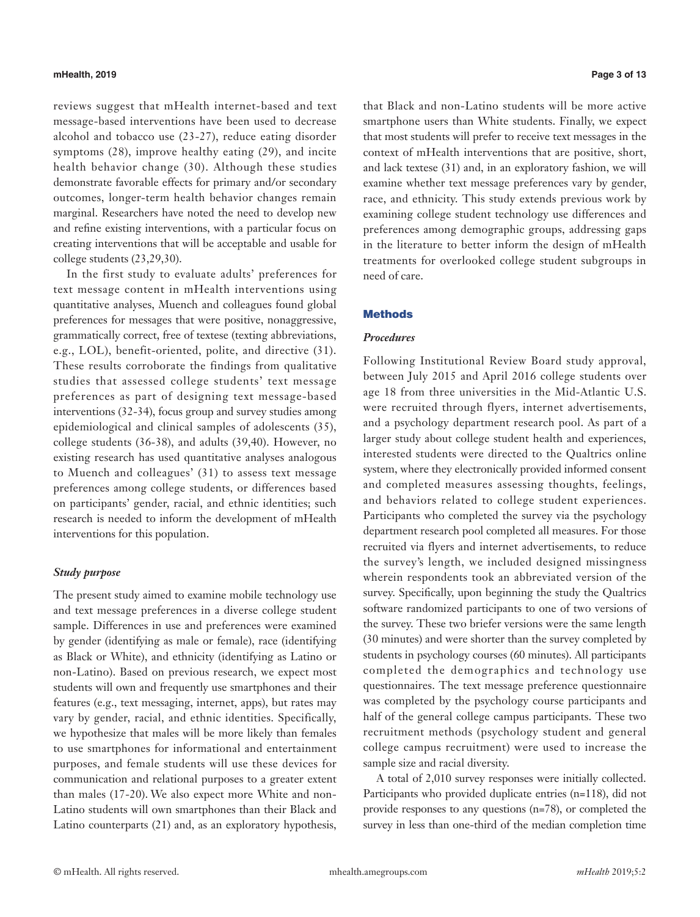#### **mHealth, 2019 Page 3 of 13**

reviews suggest that mHealth internet-based and text message-based interventions have been used to decrease alcohol and tobacco use (23-27), reduce eating disorder symptoms (28), improve healthy eating (29), and incite health behavior change (30). Although these studies demonstrate favorable effects for primary and/or secondary outcomes, longer-term health behavior changes remain marginal. Researchers have noted the need to develop new and refine existing interventions, with a particular focus on creating interventions that will be acceptable and usable for college students (23,29,30).

In the first study to evaluate adults' preferences for text message content in mHealth interventions using quantitative analyses, Muench and colleagues found global preferences for messages that were positive, nonaggressive, grammatically correct, free of textese (texting abbreviations, e.g., LOL), benefit-oriented, polite, and directive (31). These results corroborate the findings from qualitative studies that assessed college students' text message preferences as part of designing text message-based interventions (32-34), focus group and survey studies among epidemiological and clinical samples of adolescents (35), college students (36-38), and adults (39,40). However, no existing research has used quantitative analyses analogous to Muench and colleagues' (31) to assess text message preferences among college students, or differences based on participants' gender, racial, and ethnic identities; such research is needed to inform the development of mHealth interventions for this population.

#### *Study purpose*

The present study aimed to examine mobile technology use and text message preferences in a diverse college student sample. Differences in use and preferences were examined by gender (identifying as male or female), race (identifying as Black or White), and ethnicity (identifying as Latino or non-Latino). Based on previous research, we expect most students will own and frequently use smartphones and their features (e.g., text messaging, internet, apps), but rates may vary by gender, racial, and ethnic identities. Specifically, we hypothesize that males will be more likely than females to use smartphones for informational and entertainment purposes, and female students will use these devices for communication and relational purposes to a greater extent than males (17-20). We also expect more White and non-Latino students will own smartphones than their Black and Latino counterparts (21) and, as an exploratory hypothesis,

that Black and non-Latino students will be more active smartphone users than White students. Finally, we expect that most students will prefer to receive text messages in the context of mHealth interventions that are positive, short, and lack textese (31) and, in an exploratory fashion, we will examine whether text message preferences vary by gender, race, and ethnicity. This study extends previous work by examining college student technology use differences and preferences among demographic groups, addressing gaps in the literature to better inform the design of mHealth treatments for overlooked college student subgroups in need of care.

#### **Methods**

#### *Procedures*

Following Institutional Review Board study approval, between July 2015 and April 2016 college students over age 18 from three universities in the Mid-Atlantic U.S. were recruited through flyers, internet advertisements, and a psychology department research pool. As part of a larger study about college student health and experiences, interested students were directed to the Qualtrics online system, where they electronically provided informed consent and completed measures assessing thoughts, feelings, and behaviors related to college student experiences. Participants who completed the survey via the psychology department research pool completed all measures. For those recruited via flyers and internet advertisements, to reduce the survey's length, we included designed missingness wherein respondents took an abbreviated version of the survey. Specifically, upon beginning the study the Qualtrics software randomized participants to one of two versions of the survey. These two briefer versions were the same length (30 minutes) and were shorter than the survey completed by students in psychology courses (60 minutes). All participants completed the demographics and technology use questionnaires. The text message preference questionnaire was completed by the psychology course participants and half of the general college campus participants. These two recruitment methods (psychology student and general college campus recruitment) were used to increase the sample size and racial diversity.

A total of 2,010 survey responses were initially collected. Participants who provided duplicate entries (n=118), did not provide responses to any questions (n=78), or completed the survey in less than one-third of the median completion time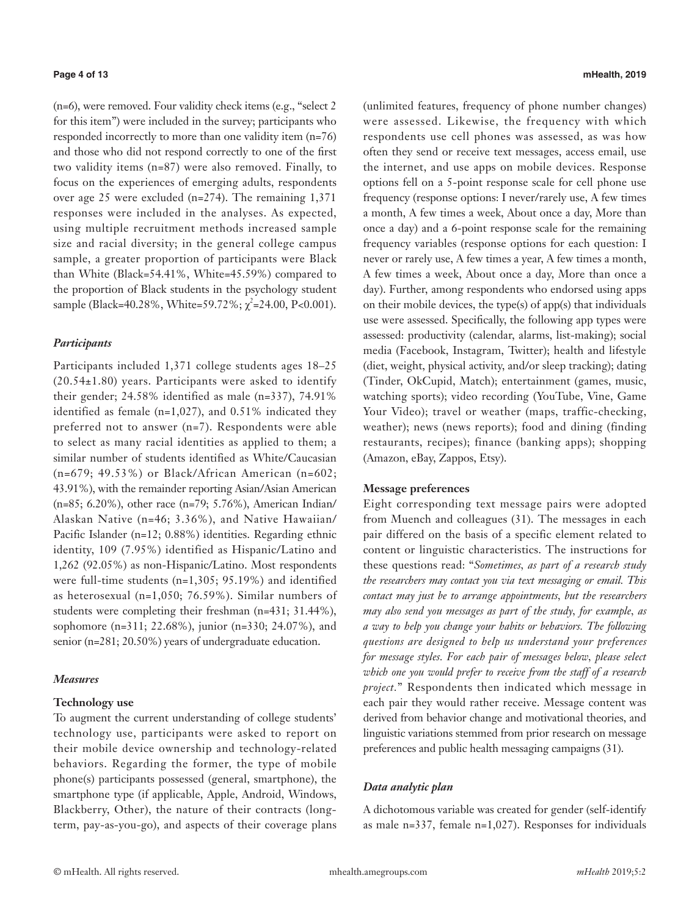(n=6), were removed. Four validity check items (e.g., "select 2 for this item") were included in the survey; participants who responded incorrectly to more than one validity item (n=76) and those who did not respond correctly to one of the first two validity items (n=87) were also removed. Finally, to focus on the experiences of emerging adults, respondents over age 25 were excluded (n=274). The remaining 1,371 responses were included in the analyses. As expected, using multiple recruitment methods increased sample size and racial diversity; in the general college campus sample, a greater proportion of participants were Black than White (Black=54.41%, White=45.59%) compared to the proportion of Black students in the psychology student sample (Black=40.28%, White=59.72%;  $\chi^2$ =24.00, P<0.001).

#### *Participants*

Participants included 1,371 college students ages 18–25  $(20.54\pm1.80)$  years. Participants were asked to identify their gender; 24.58% identified as male (n=337), 74.91% identified as female (n=1,027), and 0.51% indicated they preferred not to answer (n=7). Respondents were able to select as many racial identities as applied to them; a similar number of students identified as White/Caucasian (n=679; 49.53%) or Black/African American (n=602; 43.91%), with the remainder reporting Asian/Asian American (n=85; 6.20%), other race (n=79; 5.76%), American Indian/ Alaskan Native (n=46; 3.36%), and Native Hawaiian/ Pacific Islander (n=12; 0.88%) identities. Regarding ethnic identity, 109 (7.95%) identified as Hispanic/Latino and 1,262 (92.05%) as non-Hispanic/Latino. Most respondents were full-time students (n=1,305; 95.19%) and identified as heterosexual (n=1,050; 76.59%). Similar numbers of students were completing their freshman (n=431; 31.44%), sophomore (n=311; 22.68%), junior (n=330; 24.07%), and senior (n=281; 20.50%) years of undergraduate education.

#### *Measures*

#### **Technology use**

To augment the current understanding of college students' technology use, participants were asked to report on their mobile device ownership and technology-related behaviors. Regarding the former, the type of mobile phone(s) participants possessed (general, smartphone), the smartphone type (if applicable, Apple, Android, Windows, Blackberry, Other), the nature of their contracts (longterm, pay-as-you-go), and aspects of their coverage plans (unlimited features, frequency of phone number changes) were assessed. Likewise, the frequency with which respondents use cell phones was assessed, as was how often they send or receive text messages, access email, use the internet, and use apps on mobile devices. Response options fell on a 5-point response scale for cell phone use frequency (response options: I never/rarely use, A few times a month, A few times a week, About once a day, More than once a day) and a 6-point response scale for the remaining frequency variables (response options for each question: I never or rarely use, A few times a year, A few times a month, A few times a week, About once a day, More than once a day). Further, among respondents who endorsed using apps on their mobile devices, the type(s) of app(s) that individuals use were assessed. Specifically, the following app types were assessed: productivity (calendar, alarms, list-making); social media (Facebook, Instagram, Twitter); health and lifestyle (diet, weight, physical activity, and/or sleep tracking); dating (Tinder, OkCupid, Match); entertainment (games, music, watching sports); video recording (YouTube, Vine, Game Your Video); travel or weather (maps, traffic-checking, weather); news (news reports); food and dining (finding restaurants, recipes); finance (banking apps); shopping (Amazon, eBay, Zappos, Etsy).

#### **Message preferences**

Eight corresponding text message pairs were adopted from Muench and colleagues (31). The messages in each pair differed on the basis of a specific element related to content or linguistic characteristics. The instructions for these questions read: "*Sometimes, as part of a research study the researchers may contact you via text messaging or email. This contact may just be to arrange appointments, but the researchers may also send you messages as part of the study, for example, as a way to help you change your habits or behaviors. The following questions are designed to help us understand your preferences for message styles. For each pair of messages below, please select which one you would prefer to receive from the staff of a research project.*" Respondents then indicated which message in each pair they would rather receive. Message content was derived from behavior change and motivational theories, and linguistic variations stemmed from prior research on message preferences and public health messaging campaigns (31).

#### *Data analytic plan*

A dichotomous variable was created for gender (self-identify as male n=337, female n=1,027). Responses for individuals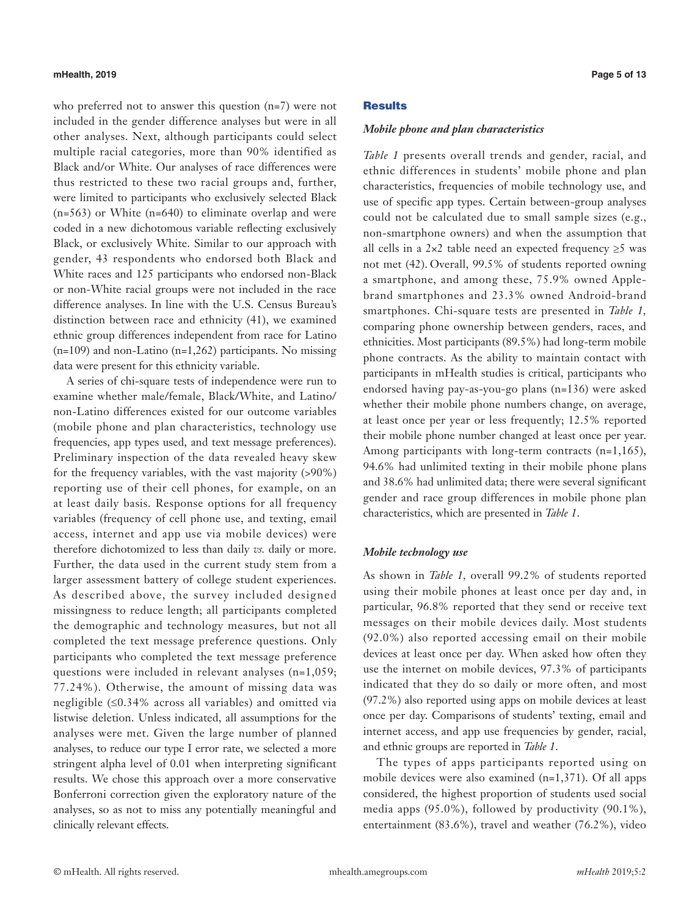who preferred not to answer this question  $(n=7)$  were not included in the gender difference analyses but were in all other analyses. Next, although participants could select multiple racial categories, more than 90% identified as Black and/or White. Our analyses of race differences were thus restricted to these two racial groups and, further, were limited to participants who exclusively selected Black  $(n=563)$  or White  $(n=640)$  to eliminate overlap and were coded in a new dichotomous variable reflecting exclusively Black, or exclusively White. Similar to our approach with gender, 43 respondents who endorsed both Black and White races and 125 participants who endorsed non-Black or non-White racial groups were not included in the race difference analyses. In line with the U.S. Census Bureau's distinction between race and ethnicity (41), we examined ethnic group differences independent from race for Latino  $(n=109)$  and non-Latino  $(n=1,262)$  participants. No missing data were present for this ethnicity variable.

A series of chi-square tests of independence were run to examine whether male/female, Black/White, and Latino/ non-Latino differences existed for our outcome variables (mobile phone and plan characteristics, technology use frequencies, app types used, and text message preferences). Preliminary inspection of the data revealed heavy skew for the frequency variables, with the vast majority (>90%) reporting use of their cell phones, for example, on an at least daily basis. Response options for all frequency variables (frequency of cell phone use, and texting, email access, internet and app use via mobile devices) were therefore dichotomized to less than daily *vs.* daily or more. Further, the data used in the current study stem from a larger assessment battery of college student experiences. As described above, the survey included designed missingness to reduce length; all participants completed the demographic and technology measures, but not all completed the text message preference questions. Only participants who completed the text message preference questions were included in relevant analyses (n=1,059; 77.24%). Otherwise, the amount of missing data was negligible (≤0.34% across all variables) and omitted via listwise deletion. Unless indicated, all assumptions for the analyses were met. Given the large number of planned analyses, to reduce our type I error rate, we selected a more stringent alpha level of 0.01 when interpreting significant results. We chose this approach over a more conservative Bonferroni correction given the exploratory nature of the analyses, so as not to miss any potentially meaningful and clinically relevant effects.

#### Results

#### *Mobile phone and plan characteristics*

*Table 1* presents overall trends and gender, racial, and ethnic differences in students' mobile phone and plan characteristics, frequencies of mobile technology use, and use of specific app types. Certain between-group analyses could not be calculated due to small sample sizes (e.g., non-smartphone owners) and when the assumption that all cells in a 2×2 table need an expected frequency  $\geq$ 5 was not met (42). Overall, 99.5% of students reported owning a smartphone, and among these, 75.9% owned Applebrand smartphones and 23.3% owned Android-brand smartphones. Chi-square tests are presented in *Table 1,* comparing phone ownership between genders, races, and ethnicities. Most participants (89.5%) had long-term mobile phone contracts. As the ability to maintain contact with participants in mHealth studies is critical, participants who endorsed having pay-as-you-go plans (n=136) were asked whether their mobile phone numbers change, on average, at least once per year or less frequently; 12.5% reported their mobile phone number changed at least once per year. Among participants with long-term contracts (n=1,165), 94.6% had unlimited texting in their mobile phone plans and 38.6% had unlimited data; there were several significant gender and race group differences in mobile phone plan characteristics, which are presented in *Table 1*.

#### *Mobile technology use*

As shown in *Table 1,* overall 99.2% of students reported using their mobile phones at least once per day and, in particular, 96.8% reported that they send or receive text messages on their mobile devices daily. Most students (92.0%) also reported accessing email on their mobile devices at least once per day. When asked how often they use the internet on mobile devices, 97.3% of participants indicated that they do so daily or more often, and most (97.2%) also reported using apps on mobile devices at least once per day. Comparisons of students' texting, email and internet access, and app use frequencies by gender, racial, and ethnic groups are reported in *Table 1*.

The types of apps participants reported using on mobile devices were also examined (n=1,371). Of all apps considered, the highest proportion of students used social media apps (95.0%), followed by productivity (90.1%), entertainment (83.6%), travel and weather (76.2%), video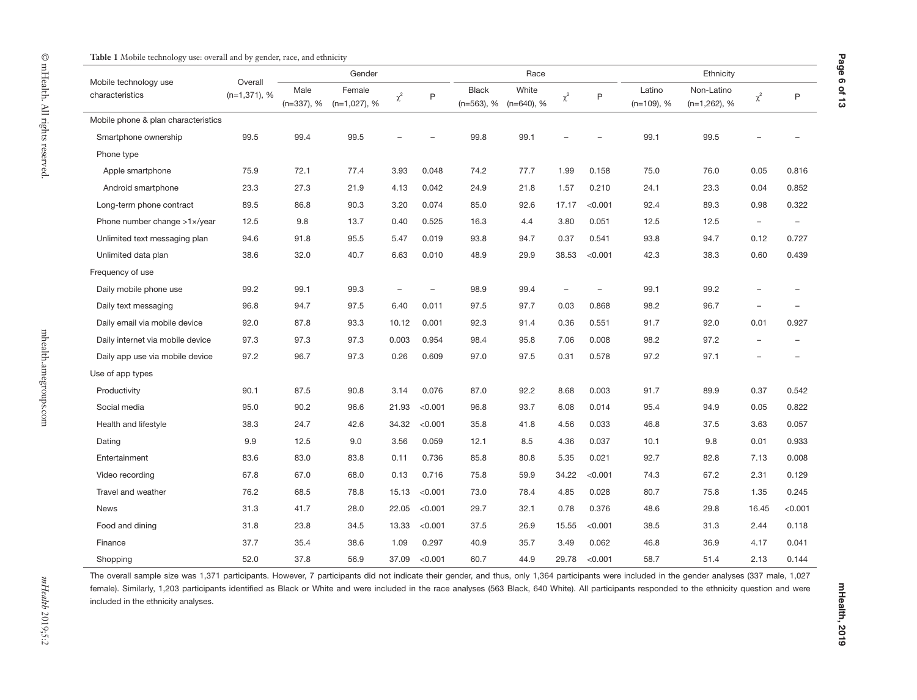| Mobile phone & plan characteristics |      |      |      |                          |                          |      |      |                          |                          |      |      |                          |                          |
|-------------------------------------|------|------|------|--------------------------|--------------------------|------|------|--------------------------|--------------------------|------|------|--------------------------|--------------------------|
| Smartphone ownership                | 99.5 | 99.4 | 99.5 | $\overline{\phantom{0}}$ | $\overline{\phantom{0}}$ | 99.8 | 99.1 | $\overline{\phantom{m}}$ | $\overline{\phantom{0}}$ | 99.1 | 99.5 | $\overline{\phantom{m}}$ |                          |
| Phone type                          |      |      |      |                          |                          |      |      |                          |                          |      |      |                          |                          |
| Apple smartphone                    | 75.9 | 72.1 | 77.4 | 3.93                     | 0.048                    | 74.2 | 77.7 | 1.99                     | 0.158                    | 75.0 | 76.0 | 0.05                     | 0.816                    |
| Android smartphone                  | 23.3 | 27.3 | 21.9 | 4.13                     | 0.042                    | 24.9 | 21.8 | 1.57                     | 0.210                    | 24.1 | 23.3 | 0.04                     | 0.852                    |
| Long-term phone contract            | 89.5 | 86.8 | 90.3 | 3.20                     | 0.074                    | 85.0 | 92.6 | 17.17                    | < 0.001                  | 92.4 | 89.3 | 0.98                     | 0.322                    |
| Phone number change >1x/year        | 12.5 | 9.8  | 13.7 | 0.40                     | 0.525                    | 16.3 | 4.4  | 3.80                     | 0.051                    | 12.5 | 12.5 | $\overline{\phantom{m}}$ |                          |
| Unlimited text messaging plan       | 94.6 | 91.8 | 95.5 | 5.47                     | 0.019                    | 93.8 | 94.7 | 0.37                     | 0.541                    | 93.8 | 94.7 | 0.12                     | 0.727                    |
| Unlimited data plan                 | 38.6 | 32.0 | 40.7 | 6.63                     | 0.010                    | 48.9 | 29.9 | 38.53                    | < 0.001                  | 42.3 | 38.3 | 0.60                     | 0.439                    |
| Frequency of use                    |      |      |      |                          |                          |      |      |                          |                          |      |      |                          |                          |
| Daily mobile phone use              | 99.2 | 99.1 | 99.3 | $\overline{\phantom{m}}$ | $\overline{\phantom{m}}$ | 98.9 | 99.4 | $\overline{\phantom{m}}$ | $\overline{\phantom{m}}$ | 99.1 | 99.2 |                          |                          |
| Daily text messaging                | 96.8 | 94.7 | 97.5 | 6.40                     | 0.011                    | 97.5 | 97.7 | 0.03                     | 0.868                    | 98.2 | 96.7 | $\overline{\phantom{0}}$ |                          |
| Daily email via mobile device       | 92.0 | 87.8 | 93.3 | 10.12                    | 0.001                    | 92.3 | 91.4 | 0.36                     | 0.551                    | 91.7 | 92.0 | 0.01                     | 0.927                    |
| Daily internet via mobile device    | 97.3 | 97.3 | 97.3 | 0.003                    | 0.954                    | 98.4 | 95.8 | 7.06                     | 0.008                    | 98.2 | 97.2 | $\overline{\phantom{a}}$ |                          |
| Daily app use via mobile device     | 97.2 | 96.7 | 97.3 | 0.26                     | 0.609                    | 97.0 | 97.5 | 0.31                     | 0.578                    | 97.2 | 97.1 | $\qquad \qquad -$        | $\overline{\phantom{m}}$ |
| Use of app types                    |      |      |      |                          |                          |      |      |                          |                          |      |      |                          |                          |
| Productivity                        | 90.1 | 87.5 | 90.8 | 3.14                     | 0.076                    | 87.0 | 92.2 | 8.68                     | 0.003                    | 91.7 | 89.9 | 0.37                     | 0.542                    |
| Social media                        | 95.0 | 90.2 | 96.6 | 21.93                    | < 0.001                  | 96.8 | 93.7 | 6.08                     | 0.014                    | 95.4 | 94.9 | 0.05                     | 0.822                    |
| Health and lifestyle                | 38.3 | 24.7 | 42.6 | 34.32                    | < 0.001                  | 35.8 | 41.8 | 4.56                     | 0.033                    | 46.8 | 37.5 | 3.63                     | 0.057                    |
| Dating                              | 9.9  | 12.5 | 9.0  | 3.56                     | 0.059                    | 12.1 | 8.5  | 4.36                     | 0.037                    | 10.1 | 9.8  | 0.01                     | 0.933                    |
| Entertainment                       | 83.6 | 83.0 | 83.8 | 0.11                     | 0.736                    | 85.8 | 80.8 | 5.35                     | 0.021                    | 92.7 | 82.8 | 7.13                     | 0.008                    |
| Video recording                     | 67.8 | 67.0 | 68.0 | 0.13                     | 0.716                    | 75.8 | 59.9 | 34.22                    | < 0.001                  | 74.3 | 67.2 | 2.31                     | 0.129                    |
| Travel and weather                  | 76.2 | 68.5 | 78.8 | 15.13                    | < 0.001                  | 73.0 | 78.4 | 4.85                     | 0.028                    | 80.7 | 75.8 | 1.35                     | 0.245                    |
| <b>News</b>                         | 31.3 | 41.7 | 28.0 | 22.05                    | < 0.001                  | 29.7 | 32.1 | 0.78                     | 0.376                    | 48.6 | 29.8 | 16.45                    | < 0.00                   |
| Food and dining                     | 31.8 | 23.8 | 34.5 | 13.33                    | < 0.001                  | 37.5 | 26.9 | 15.55                    | < 0.001                  | 38.5 | 31.3 | 2.44                     | 0.118                    |
| Finance                             | 37.7 | 35.4 | 38.6 | 1.09                     | 0.297                    | 40.9 | 35.7 | 3.49                     | 0.062                    | 46.8 | 36.9 | 4.17                     | 0.041                    |
|                                     |      |      |      |                          |                          |      |      |                          |                          |      |      |                          |                          |

Race

 $(n=1,027)$ , %  $\chi^2$  P Black White  $\chi^2$  P Latino Non-Latino  $\chi^2$  P (n=1,262), %  $\chi^2$  P

**Table 1** Mobile technology use: overall and by gender, race, and ethnicity

Overall (n=1,371), %

Male

(n=337), %

Gender

Female

Mobile technology use characteristics

The overall sample size was 1,371 participants. However, 7 participants did not indicate their gender, and thus, only 1,364 participants were included in the gender analyses (337 male, 1,027 female). Similarly, 1,203 participants identified as Black or White and were included in the race analyses (563 Black, 640 White). All participants responded to the ethnicity question and were included in the ethnicity analyses.

Shopping 52.0 37.8 56.9 37.09 <0.001 60.7 44.9 29.78 <0.001 58.7 51.4 2.13 0.144

**Ethnicity**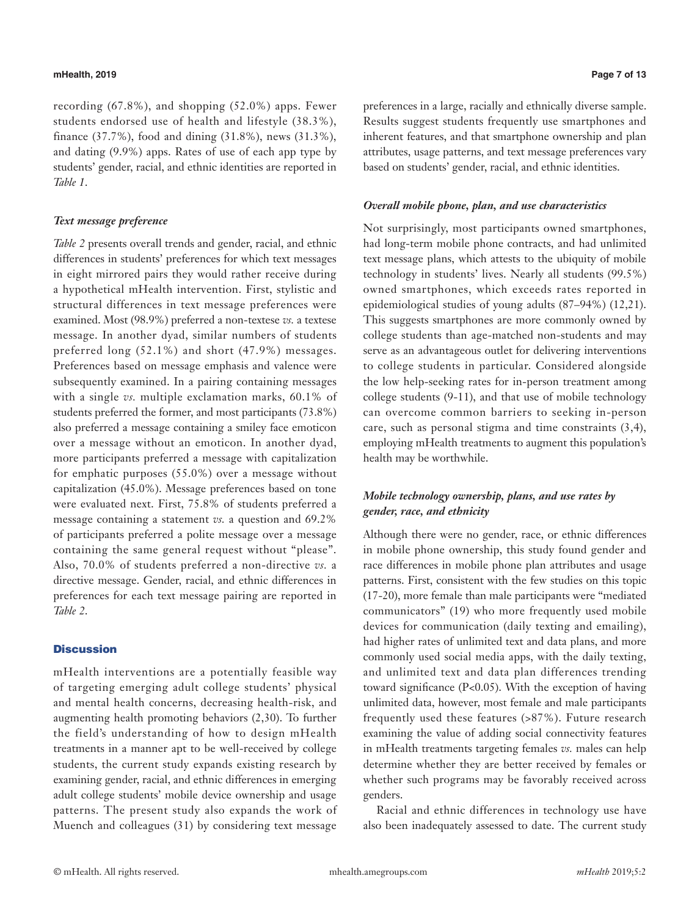#### **mHealth, 2019 Page 7 of 13**

recording (67.8%), and shopping (52.0%) apps. Fewer students endorsed use of health and lifestyle (38.3%), finance (37.7%), food and dining (31.8%), news (31.3%), and dating (9.9%) apps. Rates of use of each app type by students' gender, racial, and ethnic identities are reported in *Table 1*.

#### *Text message preference*

*Table 2* presents overall trends and gender, racial, and ethnic differences in students' preferences for which text messages in eight mirrored pairs they would rather receive during a hypothetical mHealth intervention. First, stylistic and structural differences in text message preferences were examined. Most (98.9%) preferred a non-textese *vs.* a textese message. In another dyad, similar numbers of students preferred long (52.1%) and short (47.9%) messages. Preferences based on message emphasis and valence were subsequently examined. In a pairing containing messages with a single *vs.* multiple exclamation marks, 60.1% of students preferred the former, and most participants (73.8%) also preferred a message containing a smiley face emoticon over a message without an emoticon. In another dyad, more participants preferred a message with capitalization for emphatic purposes (55.0%) over a message without capitalization (45.0%). Message preferences based on tone were evaluated next. First, 75.8% of students preferred a message containing a statement *vs.* a question and 69.2% of participants preferred a polite message over a message containing the same general request without "please". Also, 70.0% of students preferred a non-directive *vs.* a directive message. Gender, racial, and ethnic differences in preferences for each text message pairing are reported in *Table 2*.

#### **Discussion**

mHealth interventions are a potentially feasible way of targeting emerging adult college students' physical and mental health concerns, decreasing health-risk, and augmenting health promoting behaviors (2,30). To further the field's understanding of how to design mHealth treatments in a manner apt to be well-received by college students, the current study expands existing research by examining gender, racial, and ethnic differences in emerging adult college students' mobile device ownership and usage patterns. The present study also expands the work of Muench and colleagues (31) by considering text message preferences in a large, racially and ethnically diverse sample. Results suggest students frequently use smartphones and inherent features, and that smartphone ownership and plan attributes, usage patterns, and text message preferences vary based on students' gender, racial, and ethnic identities.

#### *Overall mobile phone, plan, and use characteristics*

Not surprisingly, most participants owned smartphones, had long-term mobile phone contracts, and had unlimited text message plans, which attests to the ubiquity of mobile technology in students' lives. Nearly all students (99.5%) owned smartphones, which exceeds rates reported in epidemiological studies of young adults (87–94%) (12,21). This suggests smartphones are more commonly owned by college students than age-matched non-students and may serve as an advantageous outlet for delivering interventions to college students in particular. Considered alongside the low help-seeking rates for in-person treatment among college students (9-11), and that use of mobile technology can overcome common barriers to seeking in-person care, such as personal stigma and time constraints (3,4), employing mHealth treatments to augment this population's health may be worthwhile.

### *Mobile technology ownership, plans, and use rates by gender, race, and ethnicity*

Although there were no gender, race, or ethnic differences in mobile phone ownership, this study found gender and race differences in mobile phone plan attributes and usage patterns. First, consistent with the few studies on this topic (17-20), more female than male participants were "mediated communicators" (19) who more frequently used mobile devices for communication (daily texting and emailing), had higher rates of unlimited text and data plans, and more commonly used social media apps, with the daily texting, and unlimited text and data plan differences trending toward significance (P<0.05). With the exception of having unlimited data, however, most female and male participants frequently used these features (>87%). Future research examining the value of adding social connectivity features in mHealth treatments targeting females *vs.* males can help determine whether they are better received by females or whether such programs may be favorably received across genders.

Racial and ethnic differences in technology use have also been inadequately assessed to date. The current study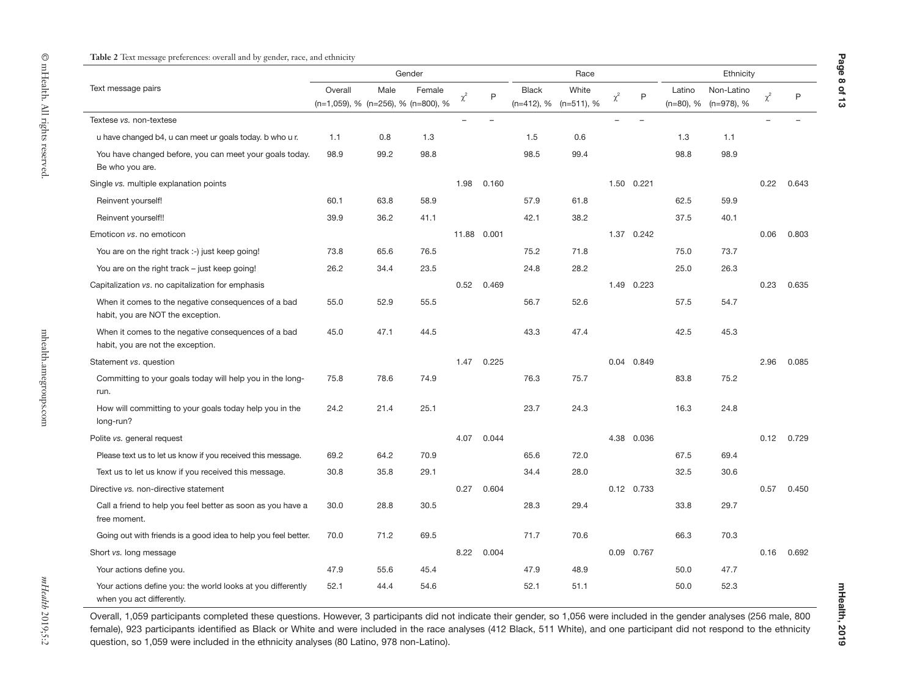Ethnicity

| Textese vs. non-textese                                                                  |      |      |      |      |             |      |      |      |            |      |      |      |       |
|------------------------------------------------------------------------------------------|------|------|------|------|-------------|------|------|------|------------|------|------|------|-------|
| u have changed b4, u can meet ur goals today. b who u r.                                 | 1.1  | 0.8  | 1.3  |      |             | 1.5  | 0.6  |      |            | 1.3  | 1.1  |      |       |
| You have changed before, you can meet your goals today.                                  | 98.9 | 99.2 | 98.8 |      |             | 98.5 | 99.4 |      |            | 98.8 | 98.9 |      |       |
| Be who you are.                                                                          |      |      |      |      |             |      |      |      |            |      |      |      |       |
| Single vs. multiple explanation points                                                   |      |      |      | 1.98 | 0.160       |      |      |      | 1.50 0.221 |      |      | 0.22 | 0.643 |
| Reinvent yourself!                                                                       | 60.1 | 63.8 | 58.9 |      |             | 57.9 | 61.8 |      |            | 62.5 | 59.9 |      |       |
| Reinvent yourself!!                                                                      | 39.9 | 36.2 | 41.1 |      |             | 42.1 | 38.2 |      |            | 37.5 | 40.1 |      |       |
| Emoticon vs. no emoticon                                                                 |      |      |      |      | 11.88 0.001 |      |      |      | 1.37 0.242 |      |      | 0.06 | 0.803 |
| You are on the right track :-) just keep going!                                          | 73.8 | 65.6 | 76.5 |      |             | 75.2 | 71.8 |      |            | 75.0 | 73.7 |      |       |
| You are on the right track - just keep going!                                            | 26.2 | 34.4 | 23.5 |      |             | 24.8 | 28.2 |      |            | 25.0 | 26.3 |      |       |
| Capitalization vs. no capitalization for emphasis                                        |      |      |      | 0.52 | 0.469       |      |      |      | 1.49 0.223 |      |      | 0.23 | 0.635 |
| When it comes to the negative consequences of a bad<br>habit, you are NOT the exception. | 55.0 | 52.9 | 55.5 |      |             | 56.7 | 52.6 |      |            | 57.5 | 54.7 |      |       |
| When it comes to the negative consequences of a bad<br>habit, you are not the exception. | 45.0 | 47.1 | 44.5 |      |             | 43.3 | 47.4 |      |            | 42.5 | 45.3 |      |       |
| Statement vs. question                                                                   |      |      |      | 1.47 | 0.225       |      |      | 0.04 | 0.849      |      |      | 2.96 | 0.085 |
| Committing to your goals today will help you in the long-<br>run.                        | 75.8 | 78.6 | 74.9 |      |             | 76.3 | 75.7 |      |            | 83.8 | 75.2 |      |       |
| How will committing to your goals today help you in the<br>long-run?                     | 24.2 | 21.4 | 25.1 |      |             | 23.7 | 24.3 |      |            | 16.3 | 24.8 |      |       |
| Polite vs. general request                                                               |      |      |      | 4.07 | 0.044       |      |      | 4.38 | 0.036      |      |      | 0.12 | 0.729 |
| Please text us to let us know if you received this message.                              | 69.2 | 64.2 | 70.9 |      |             | 65.6 | 72.0 |      |            | 67.5 | 69.4 |      |       |
| Text us to let us know if you received this message.                                     | 30.8 | 35.8 | 29.1 |      |             | 34.4 | 28.0 |      |            | 32.5 | 30.6 |      |       |
| Directive vs. non-directive statement                                                    |      |      |      | 0.27 | 0.604       |      |      |      | 0.12 0.733 |      |      | 0.57 | 0.450 |

Call a friend to help you feel better as soon as you have a

Your actions define you: the world looks at you differently

free moment.

when you act differently.

Text message pairs

Overall, 1,059 participants completed these questions. However, 3 participants did not indicate their gender, so 1,056 were included in the gender analyses (256 male, 800 female), 923 participants identified as Black or White and were included in the race analyses (412 Black, 511 White), and one participant did not respond to the ethnicity question, so 1,059 were included in the ethnicity analyses (80 Latino, 978 non-Latino).

Short vs. long message 8.22 0.004 0.09 0.767 0.09 0.767 0.09 0.16 0.692

Going out with friends is a good idea to help you feel better. 70.0 71.2 69.5 71.7 70.6 66.3 66.3 70.3

Your actions define you. 47.9 55.6 45.4 47.9 48.9 50.0 47.7

Gender

Female

Male

Overall

30.0

52.1

(n=1,059), % (n=256), %

Race

28.8 30.5 28.3 29.4 33.8 29.7

44.4 54.6 52.1 51.1 50.0 52.3

 $\chi^2$  P Black White  $\chi^2$  P Latino Non-Latino  $\chi^2$  P (n=80), % (n=978), %  $\chi^2$  P

0.604 0.12 0.733 0.57 0.450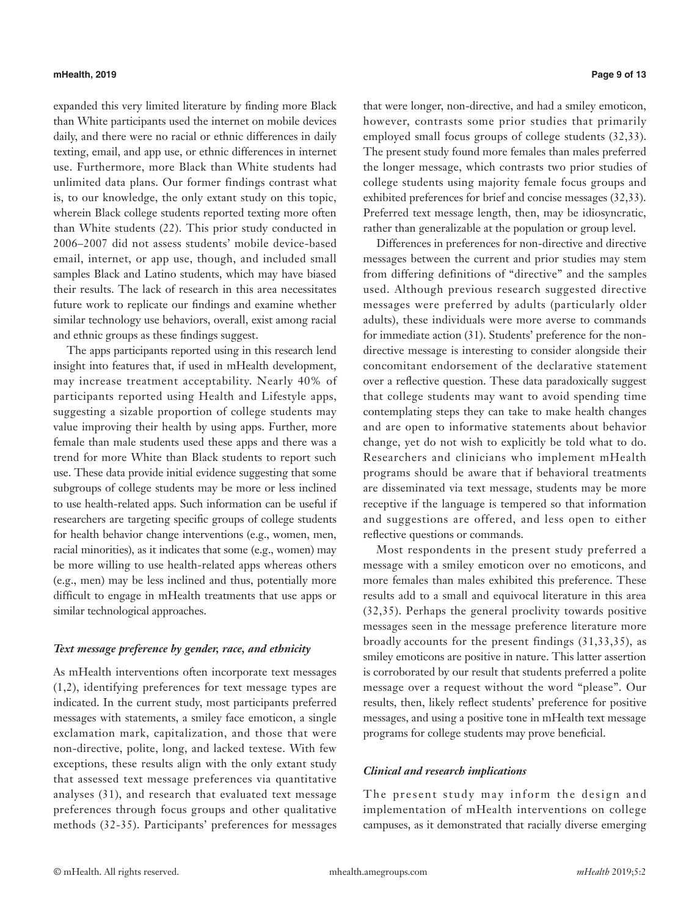expanded this very limited literature by finding more Black than White participants used the internet on mobile devices daily, and there were no racial or ethnic differences in daily texting, email, and app use, or ethnic differences in internet use. Furthermore, more Black than White students had unlimited data plans. Our former findings contrast what is, to our knowledge, the only extant study on this topic, wherein Black college students reported texting more often than White students (22). This prior study conducted in 2006–2007 did not assess students' mobile device-based email, internet, or app use, though, and included small samples Black and Latino students, which may have biased their results. The lack of research in this area necessitates future work to replicate our findings and examine whether similar technology use behaviors, overall, exist among racial and ethnic groups as these findings suggest.

The apps participants reported using in this research lend insight into features that, if used in mHealth development, may increase treatment acceptability. Nearly 40% of participants reported using Health and Lifestyle apps, suggesting a sizable proportion of college students may value improving their health by using apps. Further, more female than male students used these apps and there was a trend for more White than Black students to report such use. These data provide initial evidence suggesting that some subgroups of college students may be more or less inclined to use health-related apps. Such information can be useful if researchers are targeting specific groups of college students for health behavior change interventions (e.g., women, men, racial minorities), as it indicates that some (e.g., women) may be more willing to use health-related apps whereas others (e.g., men) may be less inclined and thus, potentially more difficult to engage in mHealth treatments that use apps or similar technological approaches.

#### *Text message preference by gender, race, and ethnicity*

As mHealth interventions often incorporate text messages (1,2), identifying preferences for text message types are indicated. In the current study, most participants preferred messages with statements, a smiley face emoticon, a single exclamation mark, capitalization, and those that were non-directive, polite, long, and lacked textese. With few exceptions, these results align with the only extant study that assessed text message preferences via quantitative analyses (31), and research that evaluated text message preferences through focus groups and other qualitative methods (32-35). Participants' preferences for messages

that were longer, non-directive, and had a smiley emoticon, however, contrasts some prior studies that primarily employed small focus groups of college students (32,33). The present study found more females than males preferred the longer message, which contrasts two prior studies of college students using majority female focus groups and exhibited preferences for brief and concise messages (32,33). Preferred text message length, then, may be idiosyncratic, rather than generalizable at the population or group level.

Differences in preferences for non-directive and directive messages between the current and prior studies may stem from differing definitions of "directive" and the samples used. Although previous research suggested directive messages were preferred by adults (particularly older adults), these individuals were more averse to commands for immediate action (31). Students' preference for the nondirective message is interesting to consider alongside their concomitant endorsement of the declarative statement over a reflective question. These data paradoxically suggest that college students may want to avoid spending time contemplating steps they can take to make health changes and are open to informative statements about behavior change, yet do not wish to explicitly be told what to do. Researchers and clinicians who implement mHealth programs should be aware that if behavioral treatments are disseminated via text message, students may be more receptive if the language is tempered so that information and suggestions are offered, and less open to either reflective questions or commands.

Most respondents in the present study preferred a message with a smiley emoticon over no emoticons, and more females than males exhibited this preference. These results add to a small and equivocal literature in this area (32,35). Perhaps the general proclivity towards positive messages seen in the message preference literature more broadly accounts for the present findings (31,33,35), as smiley emoticons are positive in nature. This latter assertion is corroborated by our result that students preferred a polite message over a request without the word "please". Our results, then, likely reflect students' preference for positive messages, and using a positive tone in mHealth text message programs for college students may prove beneficial.

#### *Clinical and research implications*

The present study may inform the design and implementation of mHealth interventions on college campuses, as it demonstrated that racially diverse emerging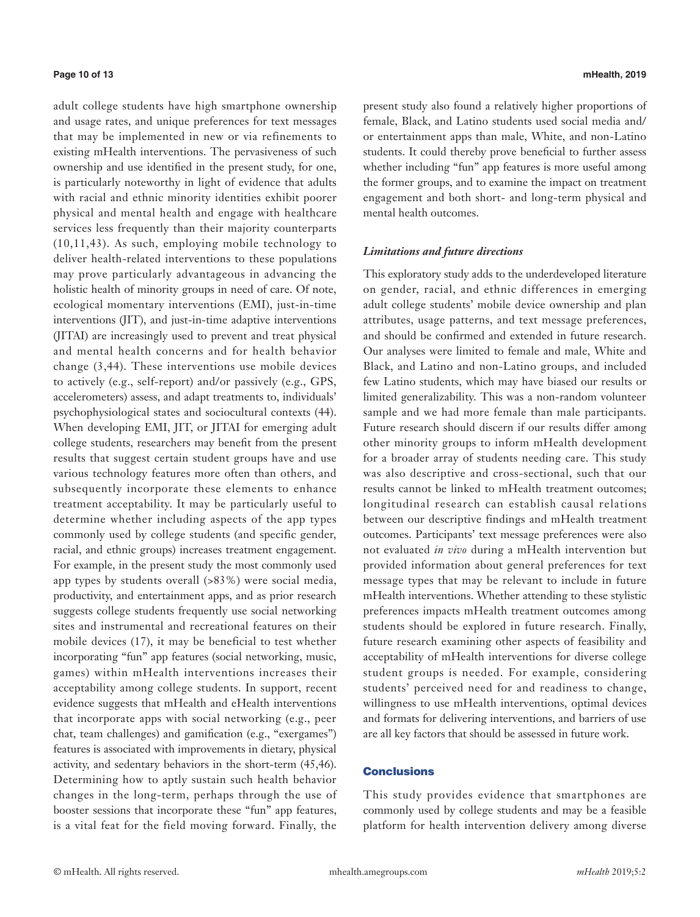adult college students have high smartphone ownership and usage rates, and unique preferences for text messages that may be implemented in new or via refinements to existing mHealth interventions. The pervasiveness of such ownership and use identified in the present study, for one, is particularly noteworthy in light of evidence that adults with racial and ethnic minority identities exhibit poorer physical and mental health and engage with healthcare services less frequently than their majority counterparts (10,11,43). As such, employing mobile technology to deliver health-related interventions to these populations may prove particularly advantageous in advancing the holistic health of minority groups in need of care. Of note, ecological momentary interventions (EMI), just-in-time interventions (JIT), and just-in-time adaptive interventions (JITAI) are increasingly used to prevent and treat physical and mental health concerns and for health behavior change (3,44). These interventions use mobile devices to actively (e.g., self-report) and/or passively (e.g., GPS, accelerometers) assess, and adapt treatments to, individuals' psychophysiological states and sociocultural contexts (44). When developing EMI, JIT, or JITAI for emerging adult college students, researchers may benefit from the present results that suggest certain student groups have and use various technology features more often than others, and subsequently incorporate these elements to enhance treatment acceptability. It may be particularly useful to determine whether including aspects of the app types commonly used by college students (and specific gender, racial, and ethnic groups) increases treatment engagement. For example, in the present study the most commonly used app types by students overall (>83%) were social media, productivity, and entertainment apps, and as prior research suggests college students frequently use social networking sites and instrumental and recreational features on their mobile devices (17), it may be beneficial to test whether incorporating "fun" app features (social networking, music, games) within mHealth interventions increases their acceptability among college students. In support, recent evidence suggests that mHealth and eHealth interventions that incorporate apps with social networking (e.g., peer chat, team challenges) and gamification (e.g., "exergames") features is associated with improvements in dietary, physical activity, and sedentary behaviors in the short-term (45,46). Determining how to aptly sustain such health behavior changes in the long-term, perhaps through the use of booster sessions that incorporate these "fun" app features, is a vital feat for the field moving forward. Finally, the present study also found a relatively higher proportions of female, Black, and Latino students used social media and/ or entertainment apps than male, White, and non-Latino students. It could thereby prove beneficial to further assess whether including "fun" app features is more useful among the former groups, and to examine the impact on treatment engagement and both short- and long-term physical and mental health outcomes.

#### *Limitations and future directions*

This exploratory study adds to the underdeveloped literature on gender, racial, and ethnic differences in emerging adult college students' mobile device ownership and plan attributes, usage patterns, and text message preferences, and should be confirmed and extended in future research. Our analyses were limited to female and male, White and Black, and Latino and non-Latino groups, and included few Latino students, which may have biased our results or limited generalizability. This was a non-random volunteer sample and we had more female than male participants. Future research should discern if our results differ among other minority groups to inform mHealth development for a broader array of students needing care. This study was also descriptive and cross-sectional, such that our results cannot be linked to mHealth treatment outcomes; longitudinal research can establish causal relations between our descriptive findings and mHealth treatment outcomes. Participants' text message preferences were also not evaluated *in vivo* during a mHealth intervention but provided information about general preferences for text message types that may be relevant to include in future mHealth interventions. Whether attending to these stylistic preferences impacts mHealth treatment outcomes among students should be explored in future research. Finally, future research examining other aspects of feasibility and acceptability of mHealth interventions for diverse college student groups is needed. For example, considering students' perceived need for and readiness to change, willingness to use mHealth interventions, optimal devices and formats for delivering interventions, and barriers of use are all key factors that should be assessed in future work.

#### **Conclusions**

This study provides evidence that smartphones are commonly used by college students and may be a feasible platform for health intervention delivery among diverse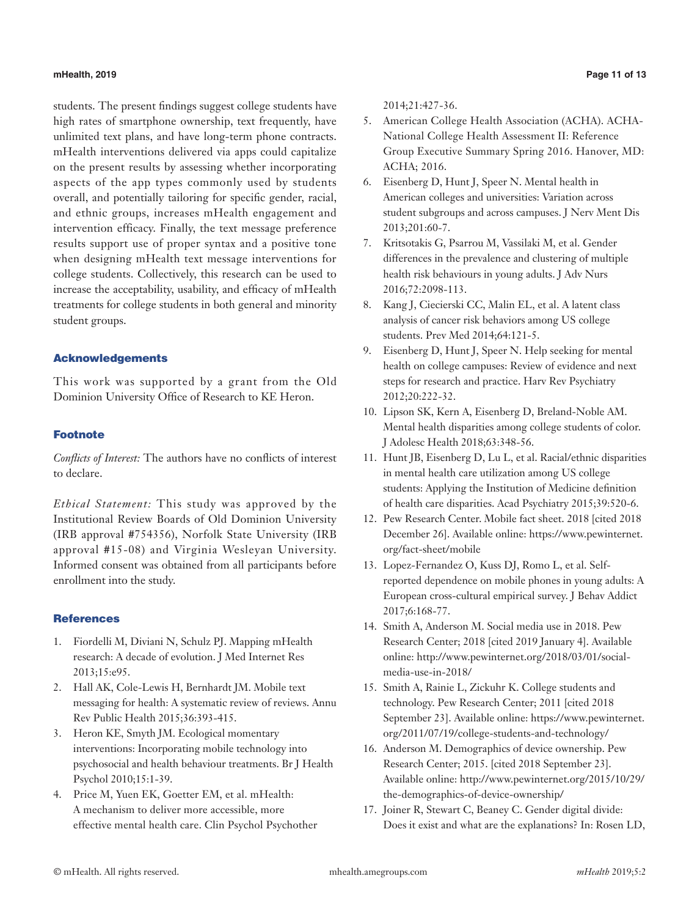#### **mHealth, 2019 Page 11 of 13**

students. The present findings suggest college students have high rates of smartphone ownership, text frequently, have unlimited text plans, and have long-term phone contracts. mHealth interventions delivered via apps could capitalize on the present results by assessing whether incorporating aspects of the app types commonly used by students overall, and potentially tailoring for specific gender, racial, and ethnic groups, increases mHealth engagement and intervention efficacy. Finally, the text message preference results support use of proper syntax and a positive tone when designing mHealth text message interventions for college students. Collectively, this research can be used to increase the acceptability, usability, and efficacy of mHealth treatments for college students in both general and minority student groups.

#### Acknowledgements

This work was supported by a grant from the Old Dominion University Office of Research to KE Heron.

#### **Footnote**

*Conflicts of Interest:* The authors have no conflicts of interest to declare.

*Ethical Statement:* This study was approved by the Institutional Review Boards of Old Dominion University (IRB approval #754356), Norfolk State University (IRB approval #15-08) and Virginia Wesleyan University. Informed consent was obtained from all participants before enrollment into the study.

#### References

- 1. Fiordelli M, Diviani N, Schulz PJ. Mapping mHealth research: A decade of evolution. J Med Internet Res 2013;15:e95.
- 2. Hall AK, Cole-Lewis H, Bernhardt JM. Mobile text messaging for health: A systematic review of reviews. Annu Rev Public Health 2015;36:393-415.
- 3. Heron KE, Smyth JM. Ecological momentary interventions: Incorporating mobile technology into psychosocial and health behaviour treatments. Br J Health Psychol 2010;15:1-39.
- 4. Price M, Yuen EK, Goetter EM, et al. mHealth: A mechanism to deliver more accessible, more effective mental health care. Clin Psychol Psychother

2014;21:427-36.

- 5. American College Health Association (ACHA). ACHA-National College Health Assessment II: Reference Group Executive Summary Spring 2016. Hanover, MD: ACHA; 2016.
- 6. Eisenberg D, Hunt J, Speer N. Mental health in American colleges and universities: Variation across student subgroups and across campuses. J Nerv Ment Dis 2013;201:60-7.
- 7. Kritsotakis G, Psarrou M, Vassilaki M, et al. Gender differences in the prevalence and clustering of multiple health risk behaviours in young adults. J Adv Nurs 2016;72:2098-113.
- 8. Kang J, Ciecierski CC, Malin EL, et al. A latent class analysis of cancer risk behaviors among US college students. Prev Med 2014;64:121-5.
- 9. Eisenberg D, Hunt J, Speer N. Help seeking for mental health on college campuses: Review of evidence and next steps for research and practice. Harv Rev Psychiatry 2012;20:222-32.
- 10. Lipson SK, Kern A, Eisenberg D, Breland-Noble AM. Mental health disparities among college students of color. J Adolesc Health 2018;63:348-56.
- 11. Hunt JB, Eisenberg D, Lu L, et al. Racial/ethnic disparities in mental health care utilization among US college students: Applying the Institution of Medicine definition of health care disparities. Acad Psychiatry 2015;39:520-6.
- 12. Pew Research Center. Mobile fact sheet. 2018 [cited 2018 December 26]. Available online: https://www.pewinternet. org/fact-sheet/mobile
- 13. Lopez-Fernandez O, Kuss DJ, Romo L, et al. Selfreported dependence on mobile phones in young adults: A European cross-cultural empirical survey. J Behav Addict 2017;6:168-77.
- 14. Smith A, Anderson M. Social media use in 2018. Pew Research Center; 2018 [cited 2019 January 4]. Available online: http://www.pewinternet.org/2018/03/01/socialmedia-use-in-2018/
- 15. Smith A, Rainie L, Zickuhr K. College students and technology. Pew Research Center; 2011 [cited 2018 September 23]. Available online: https://www.pewinternet. org/2011/07/19/college-students-and-technology/
- 16. Anderson M. Demographics of device ownership. Pew Research Center; 2015. [cited 2018 September 23]. Available online: http://www.pewinternet.org/2015/10/29/ the-demographics-of-device-ownership/
- 17. Joiner R, Stewart C, Beaney C. Gender digital divide: Does it exist and what are the explanations? In: Rosen LD,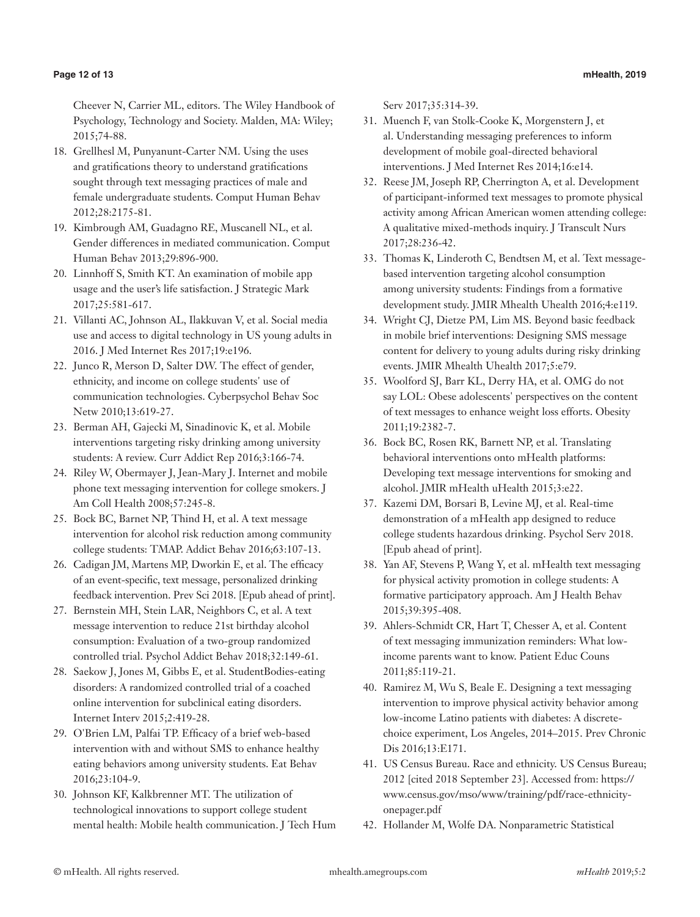Cheever N, Carrier ML, editors. The Wiley Handbook of Psychology, Technology and Society. Malden, MA: Wiley; 2015;74-88.

- 18. Grellhesl M, Punyanunt-Carter NM. Using the uses and gratifications theory to understand gratifications sought through text messaging practices of male and female undergraduate students. Comput Human Behav 2012;28:2175-81.
- 19. Kimbrough AM, Guadagno RE, Muscanell NL, et al. Gender differences in mediated communication. Comput Human Behav 2013;29:896-900.
- 20. Linnhoff S, Smith KT. An examination of mobile app usage and the user's life satisfaction. J Strategic Mark 2017;25:581-617.
- 21. Villanti AC, Johnson AL, Ilakkuvan V, et al. Social media use and access to digital technology in US young adults in 2016. J Med Internet Res 2017;19:e196.
- 22. Junco R, Merson D, Salter DW. The effect of gender, ethnicity, and income on college students' use of communication technologies. Cyberpsychol Behav Soc Netw 2010;13:619-27.
- 23. Berman AH, Gajecki M, Sinadinovic K, et al. Mobile interventions targeting risky drinking among university students: A review. Curr Addict Rep 2016;3:166-74.
- 24. Riley W, Obermayer J, Jean-Mary J. Internet and mobile phone text messaging intervention for college smokers. J Am Coll Health 2008;57:245-8.
- 25. Bock BC, Barnet NP, Thind H, et al. A text message intervention for alcohol risk reduction among community college students: TMAP. Addict Behav 2016;63:107-13.
- 26. Cadigan JM, Martens MP, Dworkin E, et al. The efficacy of an event-specific, text message, personalized drinking feedback intervention. Prev Sci 2018. [Epub ahead of print].
- 27. Bernstein MH, Stein LAR, Neighbors C, et al. A text message intervention to reduce 21st birthday alcohol consumption: Evaluation of a two-group randomized controlled trial. Psychol Addict Behav 2018;32:149-61.
- 28. Saekow J, Jones M, Gibbs E, et al. StudentBodies-eating disorders: A randomized controlled trial of a coached online intervention for subclinical eating disorders. Internet Interv 2015;2:419-28.
- 29. O'Brien LM, Palfai TP. Efficacy of a brief web-based intervention with and without SMS to enhance healthy eating behaviors among university students. Eat Behav 2016;23:104-9.
- 30. Johnson KF, Kalkbrenner MT. The utilization of technological innovations to support college student mental health: Mobile health communication. J Tech Hum

Serv 2017;35:314-39.

- 31. Muench F, van Stolk-Cooke K, Morgenstern J, et al. Understanding messaging preferences to inform development of mobile goal-directed behavioral interventions. J Med Internet Res 2014;16:e14.
- 32. Reese JM, Joseph RP, Cherrington A, et al. Development of participant-informed text messages to promote physical activity among African American women attending college: A qualitative mixed-methods inquiry. J Transcult Nurs 2017;28:236-42.
- 33. Thomas K, Linderoth C, Bendtsen M, et al. Text messagebased intervention targeting alcohol consumption among university students: Findings from a formative development study. JMIR Mhealth Uhealth 2016;4:e119.
- 34. Wright CJ, Dietze PM, Lim MS. Beyond basic feedback in mobile brief interventions: Designing SMS message content for delivery to young adults during risky drinking events. JMIR Mhealth Uhealth 2017;5:e79.
- 35. Woolford SJ, Barr KL, Derry HA, et al. OMG do not say LOL: Obese adolescents' perspectives on the content of text messages to enhance weight loss efforts. Obesity 2011;19:2382-7.
- 36. Bock BC, Rosen RK, Barnett NP, et al. Translating behavioral interventions onto mHealth platforms: Developing text message interventions for smoking and alcohol. JMIR mHealth uHealth 2015;3:e22.
- 37. Kazemi DM, Borsari B, Levine MJ, et al. Real-time demonstration of a mHealth app designed to reduce college students hazardous drinking. Psychol Serv 2018. [Epub ahead of print].
- 38. Yan AF, Stevens P, Wang Y, et al. mHealth text messaging for physical activity promotion in college students: A formative participatory approach. Am J Health Behav 2015;39:395-408.
- 39. Ahlers-Schmidt CR, Hart T, Chesser A, et al. Content of text messaging immunization reminders: What lowincome parents want to know. Patient Educ Couns 2011;85:119-21.
- 40. Ramirez M, Wu S, Beale E. Designing a text messaging intervention to improve physical activity behavior among low-income Latino patients with diabetes: A discretechoice experiment, Los Angeles, 2014–2015. Prev Chronic Dis 2016;13:E171.
- 41. US Census Bureau. Race and ethnicity. US Census Bureau; 2012 [cited 2018 September 23]. Accessed from: https:// www.census.gov/mso/www/training/pdf/race-ethnicityonepager.pdf
- 42. Hollander M, Wolfe DA. Nonparametric Statistical